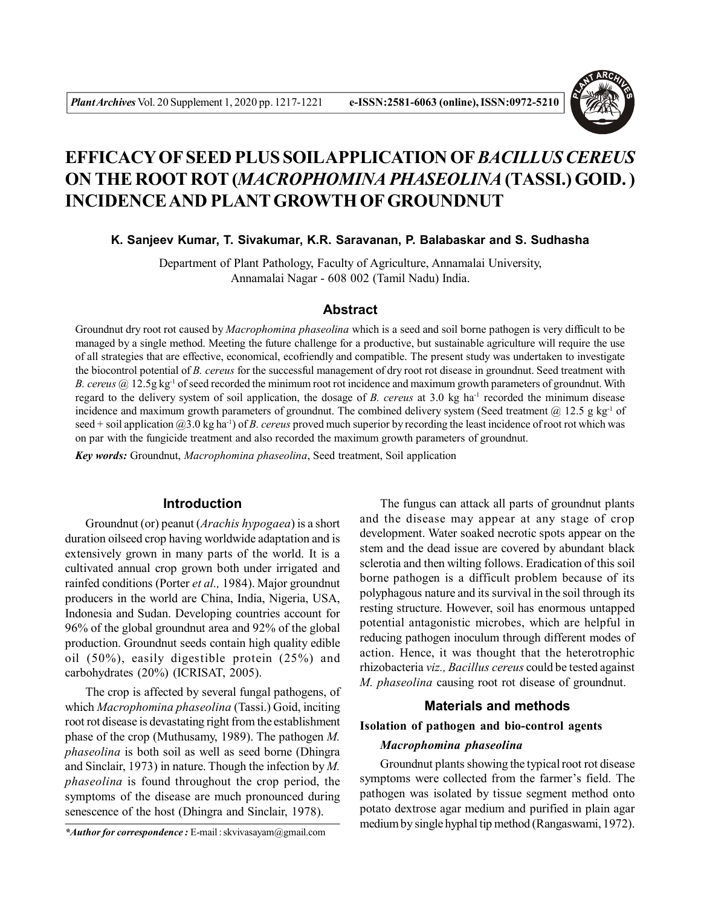

# **EFFICACY OF SEED PLUS SOILAPPLICATION OF***BACILLUS CEREUS* **ON THE ROOT ROT (***MACROPHOMINA PHASEOLINA* **(TASSI.) GOID. ) INCIDENCE AND PLANT GROWTH OF GROUNDNUT**

**K. Sanjeev Kumar, T. Sivakumar, K.R. Saravanan, P. Balabaskar and S. Sudhasha**

Department of Plant Pathology, Faculty of Agriculture, Annamalai University, Annamalai Nagar - 608 002 (Tamil Nadu) India.

### **Abstract**

Groundnut dry root rot caused by *Macrophomina phaseolina* which is a seed and soil borne pathogen is very difficult to be managed by a single method. Meeting the future challenge for a productive, but sustainable agriculture will require the use of all strategies that are effective, economical, ecofriendly and compatible. The present study was undertaken to investigate the biocontrol potential of *B. cereus* for the successful management of dry root rot disease in groundnut. Seed treatment with *B. cereus* @ 12.5g kg-1 of seed recorded the minimum root rot incidence and maximum growth parameters of groundnut. With regard to the delivery system of soil application, the dosage of *B. cereus* at 3.0 kg ha-1 recorded the minimum disease incidence and maximum growth parameters of groundnut. The combined delivery system (Seed treatment  $\omega$ ) 12.5 g kg<sup>-1</sup> of seed + soil application @3.0 kg ha-1) of *B. cereus* proved much superior by recording the least incidence of root rot which was on par with the fungicide treatment and also recorded the maximum growth parameters of groundnut.

*Key words:* Groundnut, *Macrophomina phaseolina*, Seed treatment, Soil application

#### **Introduction**

Groundnut (or) peanut (*Arachis hypogaea*) is a short duration oilseed crop having worldwide adaptation and is extensively grown in many parts of the world. It is a cultivated annual crop grown both under irrigated and rainfed conditions (Porter *et al.,* 1984). Major groundnut producers in the world are China, India, Nigeria, USA, Indonesia and Sudan. Developing countries account for 96% of the global groundnut area and 92% of the global production. Groundnut seeds contain high quality edible oil (50%), easily digestible protein (25%) and carbohydrates (20%) (ICRISAT, 2005).

The crop is affected by several fungal pathogens, of which *Macrophomina phaseolina* (Tassi.) Goid, inciting root rot disease is devastating right from the establishment phase of the crop (Muthusamy, 1989). The pathogen *M. phaseolina* is both soil as well as seed borne (Dhingra and Sinclair, 1973) in nature. Though the infection by *M. phaseolina* is found throughout the crop period, the symptoms of the disease are much pronounced during senescence of the host (Dhingra and Sinclair, 1978).

*\*Author for correspondence :* E-mail : skvivasayam@gmail.com

The fungus can attack all parts of groundnut plants and the disease may appear at any stage of crop development. Water soaked necrotic spots appear on the stem and the dead issue are covered by abundant black sclerotia and then wilting follows. Eradication of this soil borne pathogen is a difficult problem because of its polyphagous nature and its survival in the soil through its resting structure. However, soil has enormous untapped potential antagonistic microbes, which are helpful in reducing pathogen inoculum through different modes of action. Hence, it was thought that the heterotrophic rhizobacteria *viz., Bacillus cereus* could be tested against *M. phaseolina* causing root rot disease of groundnut.

## **Materials and methods**

### **Isolation of pathogen and bio-control agents**

#### *Macrophomina phaseolina*

Groundnut plants showing the typical root rot disease symptoms were collected from the farmer's field. The pathogen was isolated by tissue segment method onto potato dextrose agar medium and purified in plain agar medium by single hyphal tip method (Rangaswami, 1972).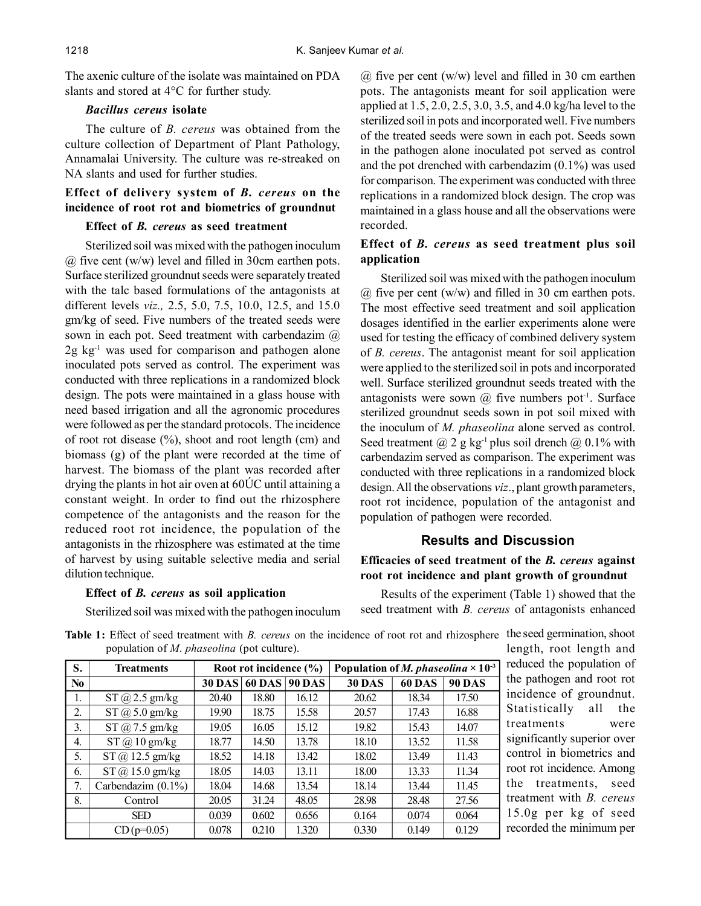The axenic culture of the isolate was maintained on PDA slants and stored at 4°C for further study.

### *Bacillus cereus* **isolate**

The culture of *B. cereus* was obtained from the culture collection of Department of Plant Pathology, Annamalai University. The culture was re-streaked on NA slants and used for further studies.

## **Effect of delivery system of** *B. cereus* **on the incidence of root rot and biometrics of groundnut**

#### **Effect of** *B. cereus* **as seed treatment**

Sterilized soil was mixed with the pathogen inoculum @ five cent (w/w) level and filled in 30cm earthen pots. Surface sterilized groundnut seeds were separately treated with the talc based formulations of the antagonists at different levels *viz.,* 2.5, 5.0, 7.5, 10.0, 12.5, and 15.0 gm/kg of seed. Five numbers of the treated seeds were sown in each pot. Seed treatment with carbendazim  $\omega$  $2g \text{ kg}^{-1}$  was used for comparison and pathogen alone inoculated pots served as control. The experiment was conducted with three replications in a randomized block design. The pots were maintained in a glass house with need based irrigation and all the agronomic procedures were followed as per the standard protocols. The incidence of root rot disease (%), shoot and root length (cm) and biomass (g) of the plant were recorded at the time of harvest. The biomass of the plant was recorded after drying the plants in hot air oven at 60ÚC until attaining a constant weight. In order to find out the rhizosphere competence of the antagonists and the reason for the reduced root rot incidence, the population of the antagonists in the rhizosphere was estimated at the time of harvest by using suitable selective media and serial dilution technique.

#### **Effect of** *B. cereus* **as soil application**

Sterilized soil was mixed with the pathogen inoculum

 $\omega$  five per cent (w/w) level and filled in 30 cm earthen pots. The antagonists meant for soil application were applied at 1.5, 2.0, 2.5, 3.0, 3.5, and 4.0 kg/ha level to the sterilized soil in pots and incorporated well. Five numbers of the treated seeds were sown in each pot. Seeds sown in the pathogen alone inoculated pot served as control and the pot drenched with carbendazim (0.1%) was used for comparison. The experiment was conducted with three replications in a randomized block design. The crop was maintained in a glass house and all the observations were recorded.

## **Effect of** *B. cereus* **as seed treatment plus soil application**

Sterilized soil was mixed with the pathogen inoculum  $\omega$  five per cent (w/w) and filled in 30 cm earthen pots. The most effective seed treatment and soil application dosages identified in the earlier experiments alone were used for testing the efficacy of combined delivery system of *B. cereus*. The antagonist meant for soil application were applied to the sterilized soil in pots and incorporated well. Surface sterilized groundnut seeds treated with the antagonists were sown  $(a)$  five numbers pot<sup>-1</sup>. Surface sterilized groundnut seeds sown in pot soil mixed with the inoculum of *M. phaseolina* alone served as control. Seed treatment  $(a)$  2 g kg<sup>-1</sup> plus soil drench  $(a)$  0.1% with carbendazim served as comparison. The experiment was conducted with three replications in a randomized block design. All the observations *viz*., plant growth parameters, root rot incidence, population of the antagonist and population of pathogen were recorded.

## **Results and Discussion**

### **Efficacies of seed treatment of the** *B. cereus* **against root rot incidence and plant growth of groundnut**

Results of the experiment (Table 1) showed that the seed treatment with *B. cereus* of antagonists enhanced

| S.               | <b>Treatments</b>       | Root rot incidence (%) |        |               | Population of <i>M. phaseolina</i> $\times$ 10 <sup>-3</sup> |               |               |  |
|------------------|-------------------------|------------------------|--------|---------------|--------------------------------------------------------------|---------------|---------------|--|
| N <sub>0</sub>   |                         | <b>30 DAS</b>          | 60 DAS | <b>90 DAS</b> | <b>30 DAS</b>                                                | <b>60 DAS</b> | <b>90 DAS</b> |  |
| 1.               | $ST$ $@$ 2.5 gm/kg      | 20.40                  | 18.80  | 16.12         | 20.62                                                        | 18.34         | 17.50         |  |
| 2.               | $ST$ $@$ 5.0 gm/kg      | 19.90                  | 18.75  | 15.58         | 20.57                                                        | 17.43         | 16.88         |  |
| 3.               | $ST$ $\omega$ 7.5 gm/kg | 19.05                  | 16.05  | 15.12         | 19.82                                                        | 15.43         | 14.07         |  |
| $\overline{4}$ . | $ST$ $@$ $10$ $gm/kg$   | 18.77                  | 14.50  | 13.78         | 18.10                                                        | 13.52         | 11.58         |  |
| 5.               | $ST$ $@$ 12.5 gm/kg     | 18.52                  | 14.18  | 13.42         | 18.02                                                        | 13.49         | 11.43         |  |
| 6.               | $ST$ (a) 15.0 gm/kg     | 18.05                  | 14.03  | 13.11         | 18.00                                                        | 13.33         | 11.34         |  |
| 7.               | Carbendazim $(0.1\%)$   | 18.04                  | 14.68  | 13.54         | 18.14                                                        | 13.44         | 11.45         |  |
| 8.               | Control                 | 20.05                  | 31.24  | 48.05         | 28.98                                                        | 28.48         | 27.56         |  |
|                  | <b>SED</b>              | 0.039                  | 0.602  | 0.656         | 0.164                                                        | 0.074         | 0.064         |  |
|                  | $CD(p=0.05)$            | 0.078                  | 0.210  | 1.320         | 0.330                                                        | 0.149         | 0.129         |  |

**Table 1:** Effect of seed treatment with *B. cereus* on the incidence of root rot and rhizosphere the seed germination, shoot population of *M*. *phaseolina* (pot culture). length, root length and

reduced the population of the pathogen and root rot incidence of groundnut. Statistically all the treatments were significantly superior over control in biometrics and root rot incidence. Among the treatments, seed treatment with *B. cereus* 15.0g per kg of seed recorded the minimum per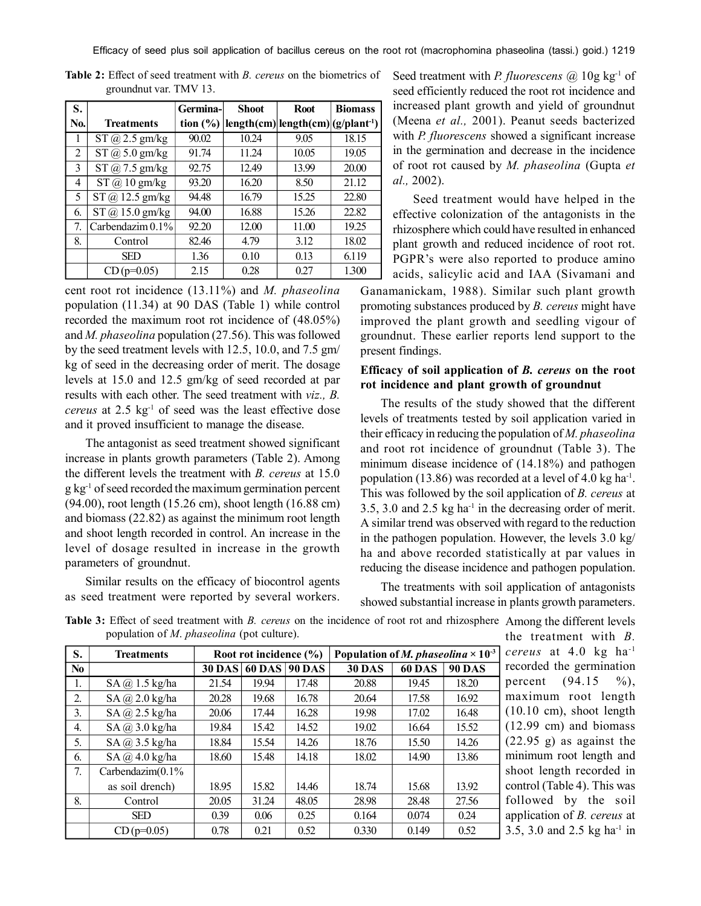Efficacy of seed plus soil application of bacillus cereus on the root rot (macrophomina phaseolina (tassi.) goid.) 1219

| S.  |                          | Germina-     | <b>Shoot</b> | <b>Root</b>                            | <b>Biomass</b> |
|-----|--------------------------|--------------|--------------|----------------------------------------|----------------|
| No. | <b>Treatments</b>        | tion $(\% )$ |              | $length(cm) length(cm) (g/plant^{-1})$ |                |
|     | $ST$ $\omega$ 2.5 gm/kg  | 90.02        | 10.24        | 9.05                                   | 18.15          |
| 2   | $ST$ $\omega$ 5.0 gm/kg  | 91.74        | 11.24        | 10.05                                  | 19.05          |
| 3   | $ST$ $\omega$ 7.5 gm/kg  | 92.75        | 12.49        | 13.99                                  | 20.00          |
| 4   | $ST$ $@$ $10$ gm/kg      | 93.20        | 16.20        | 8.50                                   | 21.12          |
| 5   | $ST$ $\omega$ 12.5 gm/kg | 94.48        | 16.79        | 15.25                                  | 22.80          |
| 6.  | $ST$ $\omega$ 15.0 gm/kg | 94.00        | 16.88        | 15.26                                  | 22.82          |
| 7.  | Carbendazim $0.1\%$      | 92.20        | 12.00        | 11.00                                  | 19.25          |
| 8.  | Control                  | 82.46        | 4.79         | 3.12                                   | 18.02          |
|     | <b>SED</b>               | 1.36         | 0.10         | 0.13                                   | 6.119          |
|     | $CD(p=0.05)$             | 2.15         | 0.28         | 0.27                                   | 1.300          |

**Table 2:** Effect of seed treatment with *B. cereus* on the biometrics of groundnut var. TMV 13.

cent root rot incidence (13.11%) and *M. phaseolina* population (11.34) at 90 DAS (Table 1) while control recorded the maximum root rot incidence of (48.05%) and *M. phaseolina* population (27.56). This was followed by the seed treatment levels with 12.5, 10.0, and 7.5 gm/ kg of seed in the decreasing order of merit. The dosage levels at 15.0 and 12.5 gm/kg of seed recorded at par results with each other. The seed treatment with *viz., B. cereus* at 2.5 kg-1 of seed was the least effective dose and it proved insufficient to manage the disease.

The antagonist as seed treatment showed significant increase in plants growth parameters (Table 2). Among the different levels the treatment with *B. cereus* at 15.0 g kg-1 of seed recorded the maximum germination percent (94.00), root length (15.26 cm), shoot length (16.88 cm) and biomass (22.82) as against the minimum root length and shoot length recorded in control. An increase in the level of dosage resulted in increase in the growth parameters of groundnut.

Similar results on the efficacy of biocontrol agents as seed treatment were reported by several workers.

Seed treatment with *P. fluorescens* @ 10g kg<sup>-1</sup> of seed efficiently reduced the root rot incidence and increased plant growth and yield of groundnut (Meena *et al.,* 2001). Peanut seeds bacterized with *P. fluorescens* showed a significant increase in the germination and decrease in the incidence of root rot caused by *M. phaseolina* (Gupta *et al.,* 2002).

Seed treatment would have helped in the effective colonization of the antagonists in the rhizosphere which could have resulted in enhanced plant growth and reduced incidence of root rot. PGPR's were also reported to produce amino acids, salicylic acid and IAA (Sivamani and

Ganamanickam, 1988). Similar such plant growth promoting substances produced by *B. cereus* might have improved the plant growth and seedling vigour of groundnut. These earlier reports lend support to the present findings.

## **Efficacy of soil application of** *B. cereus* **on the root rot incidence and plant growth of groundnut**

The results of the study showed that the different levels of treatments tested by soil application varied in their efficacy in reducing the population of *M. phaseolina* and root rot incidence of groundnut (Table 3). The minimum disease incidence of (14.18%) and pathogen population (13.86) was recorded at a level of  $4.0 \text{ kg ha}^{-1}$ . This was followed by the soil application of *B. cereus* at 3.5, 3.0 and 2.5 kg ha-1 in the decreasing order of merit. A similar trend was observed with regard to the reduction in the pathogen population. However, the levels 3.0 kg/ ha and above recorded statistically at par values in reducing the disease incidence and pathogen population.

The treatments with soil application of antagonists showed substantial increase in plants growth parameters.

**S. Treatments** Root rot incidence  $(\%)$  Population of *M. phaseolina*  $\times 10^{-3}$ **No 30 DAS 60 DAS 90 DAS 30 DAS 60 DAS 90 DAS** 1. SA @ 1.5 kg/ha 21.54 19.94 17.48 20.88 19.45 18.20 2. SA @ 2.0 kg/ha | 20.28 | 19.68 | 16.78 | 20.64 | 17.58 | 16.92 3. SA  $@2.5$  kg/ha  $20.06$  17.44 16.28 19.98 17.02 16.48 4.  $S_A \quad \frac{\partial}{\partial 3.0 \text{ kg/ha}}$  19.84 15.42 14.52 19.02 16.64 15.52 5. SA @ 3.5 kg/ha 18.84 15.54 14.26 18.76 15.50 14.26 6.  $SA @ 4.0 kg/ha$  18.60 15.48 14.18 18.02 14.90 13.86 7. Carbendazim(0.1% as soil drench) 18.95 15.82 14.46 18.74 15.68 13.92 8. Control 20.05 31.24 48.05 28.98 28.48 27.56 SED | 0.39 | 0.06 | 0.25 | 0.164 | 0.074 | 0.24 CD (p=0.05) 0.78 0.21 0.52 0.330 0.149 0.52

**Table 3:** Effect of seed treatment with *B. cereus* on the incidence of root rot and rhizosphere Among the different levels population of *M*. *phaseolina* (pot culture).

the treatment with *B. cereus* at 4.0 kg ha-1 recorded the germination percent  $(94.15 \t%).$ maximum root length (10.10 cm), shoot length (12.99 cm) and biomass (22.95 g) as against the minimum root length and shoot length recorded in control (Table 4). This was followed by the soil application of *B. cereus* at 3.5, 3.0 and 2.5 kg ha-1 in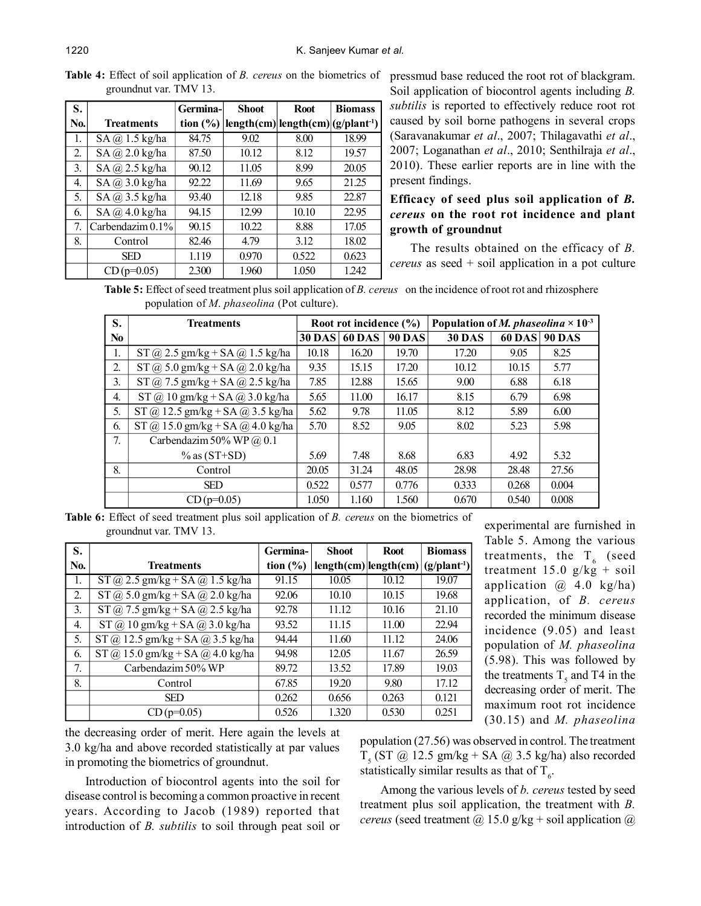**Table 4:** Effect of soil application of *B. cereus* on the biometrics of pressmud base reduced the root rot of blackgram. groundnut var. TMV 13.

| S.  |                         | Germina-     | <b>Shoot</b> | <b>Root</b>                            | <b>Biomass</b> |
|-----|-------------------------|--------------|--------------|----------------------------------------|----------------|
| No. | <b>Treatments</b>       | tion $(\% )$ |              | $length(cm) length(cm) (g/plant^{-1})$ |                |
| 1.  | $SA$ $@$ 1.5 kg/ha      | 84.75        | 9.02         | 8.00                                   | 18.99          |
| 2.  | $SA$ $@$ $2.0$ kg/ha    | 87.50        | 10.12        | 8.12                                   | 19.57          |
| 3.  | $SA$ $@$ 2.5 kg/ha      | 90.12        | 11.05        | 8.99                                   | 20.05          |
| 4.  | $SA$ $\omega$ 3.0 kg/ha | 92.22        | 11.69        | 9.65                                   | 21.25          |
| 5.  | $SA$ $\omega$ 3.5 kg/ha | 93.40        | 12.18        | 9.85                                   | 22.87          |
| 6.  | $SA$ $@$ 4.0 kg/ha      | 94.15        | 12.99        | 10.10                                  | 22.95          |
| 7.  | Carbendazim $0.1\%$     | 90.15        | 10.22        | 8.88                                   | 17.05          |
| 8.  | Control                 | 82.46        | 4.79         | 3.12                                   | 18.02          |
|     | <b>SED</b>              | 1.119        | 0.970        | 0.522                                  | 0.623          |
|     | $CD(p=0.05)$            | 2.300        | 1.960        | 1.050                                  | 1.242          |

Soil application of biocontrol agents including *B. subtilis* is reported to effectively reduce root rot caused by soil borne pathogens in several crops (Saravanakumar *et al*., 2007; Thilagavathi *et al*., 2007; Loganathan *et al*., 2010; Senthilraja *et al*., 2010). These earlier reports are in line with the present findings.

# **Efficacy of seed plus soil application of** *B. cereus* **on the root rot incidence and plant growth of groundnut**

The results obtained on the efficacy of *B. cereus* as seed + soil application in a pot culture

**Table 5:** Effect of seed treatment plus soil application of *B. cereus* on the incidence of root rot and rhizosphere population of *M*. *phaseolina* (Pot culture).

| S.             | <b>Treatments</b>                      | Root rot incidence (%) |               | Population of <i>M. phaseolina</i> $\times$ 10 <sup>-3</sup> |               |               |               |
|----------------|----------------------------------------|------------------------|---------------|--------------------------------------------------------------|---------------|---------------|---------------|
| No             |                                        | <b>30 DAS</b>          | <b>60 DAS</b> | <b>90 DAS</b>                                                | <b>30 DAS</b> | <b>60 DAS</b> | <b>90 DAS</b> |
| 1.             | $ST$ @ 2.5 gm/kg + SA @ 1.5 kg/ha      | 10.18                  | 16.20         | 19.70                                                        | 17.20         | 9.05          | 8.25          |
| 2 <sub>1</sub> | $ST$ @ 5.0 gm/kg + SA @ 2.0 kg/ha      | 9.35                   | 15.15         | 17.20                                                        | 10.12         | 10.15         | 5.77          |
| 3.             | $ST$ @ 7.5 gm/kg + SA @ 2.5 kg/ha      | 7.85                   | 12.88         | 15.65                                                        | 9.00          | 6.88          | 6.18          |
| 4.             | $ST$ (a) 10 gm/kg + SA (a) 3.0 kg/ha   | 5.65                   | 11.00         | 16.17                                                        | 8.15          | 6.79          | 6.98          |
| 5.             | $ST$ (a) 12.5 gm/kg + SA (a) 3.5 kg/ha | 5.62                   | 9.78          | 11.05                                                        | 8.12          | 5.89          | 6.00          |
| 6.             | $ST$ (a) 15.0 gm/kg + SA (a) 4.0 kg/ha | 5.70                   | 8.52          | 9.05                                                         | 8.02          | 5.23          | 5.98          |
| 7 <sub>1</sub> | Carbendazim 50% WP $(a)$ 0.1           |                        |               |                                                              |               |               |               |
|                | $\%$ as (ST+SD)                        | 5.69                   | 7.48          | 8.68                                                         | 6.83          | 4.92          | 5.32          |
| 8.             | Control                                | 20.05                  | 31.24         | 48.05                                                        | 28.98         | 28.48         | 27.56         |
|                | <b>SED</b>                             | 0.522                  | 0.577         | 0.776                                                        | 0.333         | 0.268         | 0.004         |
|                | $CD(p=0.05)$                           | 1.050                  | 1.160         | 1.560                                                        | 0.670         | 0.540         | 0.008         |

**Table 6:** Effect of seed treatment plus soil application of *B. cereus* on the biometrics of groundnut var. TMV 13.

| S.  |                                        | Germina-     | <b>Shoot</b> | <b>Root</b>           | <b>Biomass</b> |
|-----|----------------------------------------|--------------|--------------|-----------------------|----------------|
| No. | <b>Treatments</b>                      | tion $(\% )$ |              | length(cm) length(cm) | $(g/plant-1)$  |
| 1.  | $ST$ @ 2.5 gm/kg + SA @ 1.5 kg/ha      | 91.15        | 10.05        | 10.12                 | 19.07          |
| 2.  | $ST$ (a) 5.0 gm/kg + SA (a) 2.0 kg/ha  | 92.06        | 10.10        | 10.15                 | 19.68          |
| 3.  | $ST$ (a) 7.5 gm/kg + SA (a) 2.5 kg/ha  | 92.78        | 11.12        | 10.16                 | 21.10          |
| 4.  | $ST$ (a) 10 gm/kg + SA (a) 3.0 kg/ha   | 93.52        | 11.15        | 11.00                 | 22.94          |
| 5.  | $ST$ (a) 12.5 gm/kg + SA (a) 3.5 kg/ha | 94.44        | 11.60        | 11.12                 | 24.06          |
| 6.  | $ST$ (a) 15.0 gm/kg + SA (a) 4.0 kg/ha | 94.98        | 12.05        | 11.67                 | 26.59          |
| 7.  | Carbendazim 50% WP                     | 89.72        | 13.52        | 17.89                 | 19.03          |
| 8.  | Control                                | 67.85        | 19.20        | 9.80                  | 17.12          |
|     | <b>SED</b>                             | 0.262        | 0.656        | 0.263                 | 0.121          |
|     | $CD(p=0.05)$                           | 0.526        | 1.320        | 0.530                 | 0.251          |

experimental are furnished in Table 5. Among the various treatments, the  $T_6$  (seed treatment  $15.0 \frac{g}{kg} + \frac{1}{10}$ application @ 4.0 kg/ha) application, of *B. cereus* recorded the minimum disease incidence (9.05) and least population of *M. phaseolina* (5.98). This was followed by the treatments  $T_5$  and T4 in the decreasing order of merit. The maximum root rot incidence (30.15) and *M. phaseolina*

the decreasing order of merit. Here again the levels at 3.0 kg/ha and above recorded statistically at par values in promoting the biometrics of groundnut.

Introduction of biocontrol agents into the soil for disease control is becoming a common proactive in recent years. According to Jacob (1989) reported that introduction of *B. subtilis* to soil through peat soil or population (27.56) was observed in control. The treatment  $T<sub>5</sub>$  (ST  $@$  12.5 gm/kg + SA  $@$  3.5 kg/ha) also recorded statistically similar results as that of  $T_{6}$ .

Among the various levels of *b. cereus* tested by seed treatment plus soil application, the treatment with *B. cereus* (seed treatment  $\omega$  15.0 g/kg + soil application  $\omega$